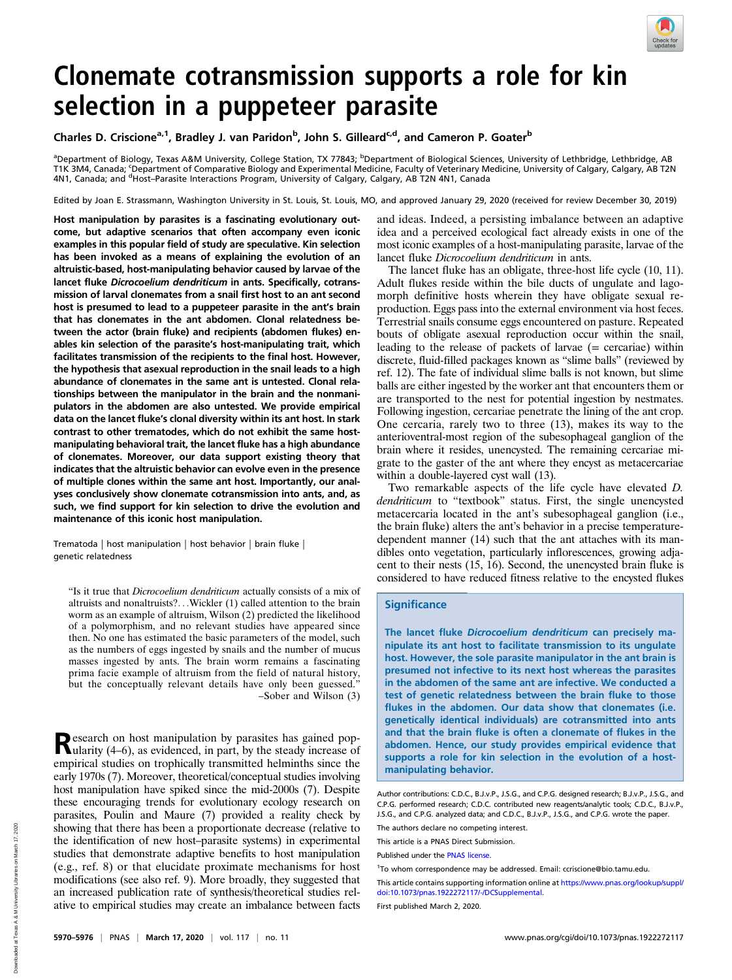

# Clonemate cotransmission supports a role for kin selection in a puppeteer parasite

Charles D. Criscione<sup>a, 1</sup>, Bradley J. van Paridon<sup>b</sup>, John S. Gilleard<sup>c,d</sup>, and Cameron P. Goater<sup>b</sup>

ªDepartment of Biology, Texas A&M University, College Station, TX 77843; <sup>b</sup>Department of Biological Sciences, University of Lethbridge, Lethbridge, AB T1K 3M4, Canada; 'Department of Comparative Biology and Experimental Medicine, Faculty of Veterinary Medicine, University of Calgary, Calgary, AB T2N<br>4N1, Canada; and <sup>d</sup>Host–Parasite Interactions Program, University of Ca

Edited by Joan E. Strassmann, Washington University in St. Louis, St. Louis, MO, and approved January 29, 2020 (received for review December 30, 2019)

Host manipulation by parasites is a fascinating evolutionary outcome, but adaptive scenarios that often accompany even iconic examples in this popular field of study are speculative. Kin selection has been invoked as a means of explaining the evolution of an altruistic-based, host-manipulating behavior caused by larvae of the lancet fluke Dicrocoelium dendriticum in ants. Specifically, cotransmission of larval clonemates from a snail first host to an ant second host is presumed to lead to a puppeteer parasite in the ant's brain that has clonemates in the ant abdomen. Clonal relatedness between the actor (brain fluke) and recipients (abdomen flukes) enables kin selection of the parasite's host-manipulating trait, which facilitates transmission of the recipients to the final host. However, the hypothesis that asexual reproduction in the snail leads to a high abundance of clonemates in the same ant is untested. Clonal relationships between the manipulator in the brain and the nonmanipulators in the abdomen are also untested. We provide empirical data on the lancet fluke's clonal diversity within its ant host. In stark contrast to other trematodes, which do not exhibit the same hostmanipulating behavioral trait, the lancet fluke has a high abundance of clonemates. Moreover, our data support existing theory that indicates that the altruistic behavior can evolve even in the presence of multiple clones within the same ant host. Importantly, our analyses conclusively show clonemate cotransmission into ants, and, as such, we find support for kin selection to drive the evolution and maintenance of this iconic host manipulation.

Trematoda | host manipulation | host behavior | brain fluke | genetic relatedness

"Is it true that Dicrocoelium dendriticum actually consists of a mix of altruists and nonaltruists?...Wickler (1) called attention to the brain worm as an example of altruism, Wilson (2) predicted the likelihood of a polymorphism, and no relevant studies have appeared since then. No one has estimated the basic parameters of the model, such as the numbers of eggs ingested by snails and the number of mucus masses ingested by ants. The brain worm remains a fascinating prima facie example of altruism from the field of natural history, but the conceptually relevant details have only been guessed." –Sober and Wilson (3)

Research on host manipulation by parasites has gained pop-ularity (4–6), as evidenced, in part, by the steady increase of empirical studies on trophically transmitted helminths since the early 1970s (7). Moreover, theoretical/conceptual studies involving host manipulation have spiked since the mid-2000s (7). Despite these encouraging trends for evolutionary ecology research on parasites, Poulin and Maure (7) provided a reality check by showing that there has been a proportionate decrease (relative to the identification of new host–parasite systems) in experimental studies that demonstrate adaptive benefits to host manipulation (e.g., ref. 8) or that elucidate proximate mechanisms for host modifications (see also ref. 9). More broadly, they suggested that an increased publication rate of synthesis/theoretical studies relative to empirical studies may create an imbalance between facts and ideas. Indeed, a persisting imbalance between an adaptive idea and a perceived ecological fact already exists in one of the most iconic examples of a host-manipulating parasite, larvae of the lancet fluke Dicrocoelium dendriticum in ants.

The lancet fluke has an obligate, three-host life cycle (10, 11). Adult flukes reside within the bile ducts of ungulate and lagomorph definitive hosts wherein they have obligate sexual reproduction. Eggs pass into the external environment via host feces. Terrestrial snails consume eggs encountered on pasture. Repeated bouts of obligate asexual reproduction occur within the snail, leading to the release of packets of larvae (= cercariae) within discrete, fluid-filled packages known as "slime balls" (reviewed by ref. 12). The fate of individual slime balls is not known, but slime balls are either ingested by the worker ant that encounters them or are transported to the nest for potential ingestion by nestmates. Following ingestion, cercariae penetrate the lining of the ant crop. One cercaria, rarely two to three (13), makes its way to the anterioventral-most region of the subesophageal ganglion of the brain where it resides, unencysted. The remaining cercariae migrate to the gaster of the ant where they encyst as metacercariae within a double-layered cyst wall (13).

Two remarkable aspects of the life cycle have elevated D. dendriticum to "textbook" status. First, the single unencysted metacercaria located in the ant's subesophageal ganglion (i.e., the brain fluke) alters the ant's behavior in a precise temperaturedependent manner (14) such that the ant attaches with its mandibles onto vegetation, particularly inflorescences, growing adjacent to their nests (15, 16). Second, the unencysted brain fluke is considered to have reduced fitness relative to the encysted flukes

## **Significance**

The lancet fluke Dicrocoelium dendriticum can precisely manipulate its ant host to facilitate transmission to its ungulate host. However, the sole parasite manipulator in the ant brain is presumed not infective to its next host whereas the parasites in the abdomen of the same ant are infective. We conducted a test of genetic relatedness between the brain fluke to those flukes in the abdomen. Our data show that clonemates (i.e. genetically identical individuals) are cotransmitted into ants and that the brain fluke is often a clonemate of flukes in the abdomen. Hence, our study provides empirical evidence that supports a role for kin selection in the evolution of a hostmanipulating behavior.

The authors declare no competing interest.

1 To whom correspondence may be addressed. Email: [ccriscione@bio.tamu.edu.](mailto:ccriscione@bio.tamu.edu)

This article contains supporting information online at [https://www.pnas.org/lookup/suppl/](https://www.pnas.org/lookup/suppl/doi:10.1073/pnas.1922272117/-/DCSupplemental) [doi:10.1073/pnas.1922272117/-/DCSupplemental](https://www.pnas.org/lookup/suppl/doi:10.1073/pnas.1922272117/-/DCSupplemental).

First published March 2, 2020.

Author contributions: C.D.C., B.J.v.P., J.S.G., and C.P.G. designed research; B.J.v.P., J.S.G., and C.P.G. performed research; C.D.C. contributed new reagents/analytic tools; C.D.C., B.J.v.P., J.S.G., and C.P.G. analyzed data; and C.D.C., B.J.v.P., J.S.G., and C.P.G. wrote the paper.

This article is a PNAS Direct Submission.

Published under the [PNAS license](https://www.pnas.org/site/aboutpnas/licenses.xhtml)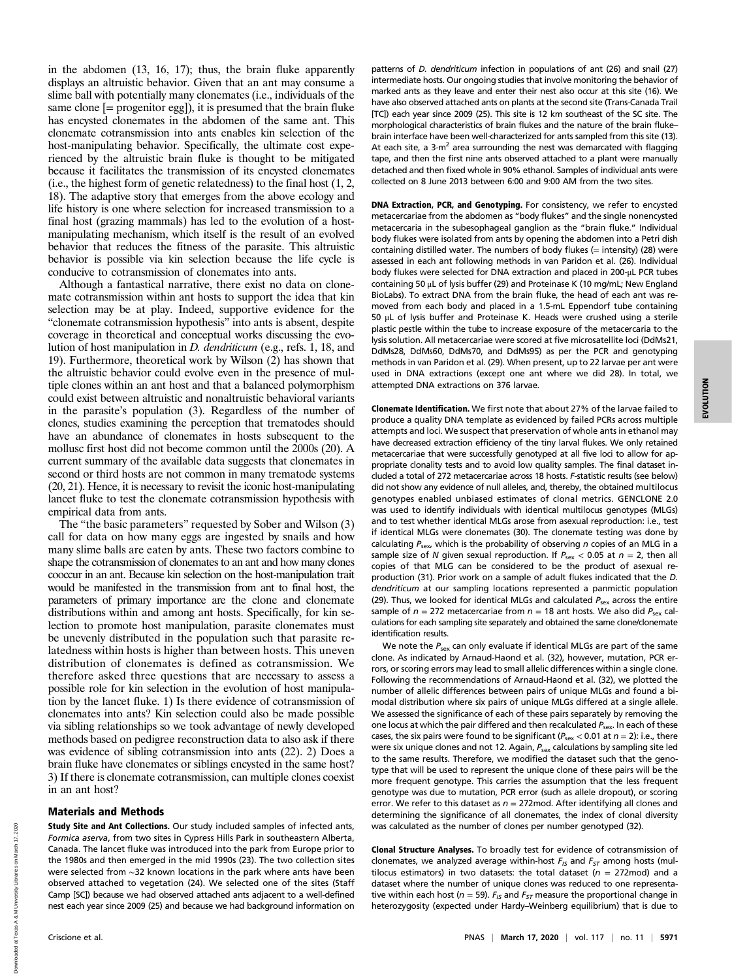in the abdomen (13, 16, 17); thus, the brain fluke apparently displays an altruistic behavior. Given that an ant may consume a slime ball with potentially many clonemates (i.e., individuals of the same clone  $[=$  progenitor egg $]$ , it is presumed that the brain fluke has encysted clonemates in the abdomen of the same ant. This clonemate cotransmission into ants enables kin selection of the host-manipulating behavior. Specifically, the ultimate cost experienced by the altruistic brain fluke is thought to be mitigated because it facilitates the transmission of its encysted clonemates (i.e., the highest form of genetic relatedness) to the final host (1, 2, 18). The adaptive story that emerges from the above ecology and life history is one where selection for increased transmission to a final host (grazing mammals) has led to the evolution of a hostmanipulating mechanism, which itself is the result of an evolved behavior that reduces the fitness of the parasite. This altruistic behavior is possible via kin selection because the life cycle is conducive to cotransmission of clonemates into ants.

Although a fantastical narrative, there exist no data on clonemate cotransmission within ant hosts to support the idea that kin selection may be at play. Indeed, supportive evidence for the "clonemate cotransmission hypothesis" into ants is absent, despite coverage in theoretical and conceptual works discussing the evolution of host manipulation in D. dendriticum (e.g., refs. 1, 18, and 19). Furthermore, theoretical work by Wilson (2) has shown that the altruistic behavior could evolve even in the presence of multiple clones within an ant host and that a balanced polymorphism could exist between altruistic and nonaltruistic behavioral variants in the parasite's population (3). Regardless of the number of clones, studies examining the perception that trematodes should have an abundance of clonemates in hosts subsequent to the mollusc first host did not become common until the 2000s (20). A current summary of the available data suggests that clonemates in second or third hosts are not common in many trematode systems (20, 21). Hence, it is necessary to revisit the iconic host-manipulating lancet fluke to test the clonemate cotransmission hypothesis with empirical data from ants.

The "the basic parameters" requested by Sober and Wilson (3) call for data on how many eggs are ingested by snails and how many slime balls are eaten by ants. These two factors combine to shape the cotransmission of clonemates to an ant and how many clones cooccur in an ant. Because kin selection on the host-manipulation trait would be manifested in the transmission from ant to final host, the parameters of primary importance are the clone and clonemate distributions within and among ant hosts. Specifically, for kin selection to promote host manipulation, parasite clonemates must be unevenly distributed in the population such that parasite relatedness within hosts is higher than between hosts. This uneven distribution of clonemates is defined as cotransmission. We therefore asked three questions that are necessary to assess a possible role for kin selection in the evolution of host manipulation by the lancet fluke. 1) Is there evidence of cotransmission of clonemates into ants? Kin selection could also be made possible via sibling relationships so we took advantage of newly developed methods based on pedigree reconstruction data to also ask if there was evidence of sibling cotransmission into ants (22). 2) Does a brain fluke have clonemates or siblings encysted in the same host? 3) If there is clonemate cotransmission, can multiple clones coexist in an ant host?

## Materials and Methods

Study Site and Ant Collections. Our study included samples of infected ants, Formica aserva, from two sites in Cypress Hills Park in southeastern Alberta, Canada. The lancet fluke was introduced into the park from Europe prior to the 1980s and then emerged in the mid 1990s (23). The two collection sites were selected from ∼32 known locations in the park where ants have been observed attached to vegetation (24). We selected one of the sites (Staff Camp [SC]) because we had observed attached ants adjacent to a well-defined nest each year since 2009 (25) and because we had background information on

patterns of *D. dendriticum* infection in populations of ant (26) and snail (27) intermediate hosts. Our ongoing studies that involve monitoring the behavior of marked ants as they leave and enter their nest also occur at this site (16). We have also observed attached ants on plants at the second site (Trans-Canada Trail [TC]) each year since 2009 (25). This site is 12 km southeast of the SC site. The morphological characteristics of brain flukes and the nature of the brain fluke– brain interface have been well-characterized for ants sampled from this site (13). At each site, a  $3-m^2$  area surrounding the nest was demarcated with flagging tape, and then the first nine ants observed attached to a plant were manually detached and then fixed whole in 90% ethanol. Samples of individual ants were collected on 8 June 2013 between 6:00 and 9:00 AM from the two sites.

DNA Extraction, PCR, and Genotyping. For consistency, we refer to encysted metacercariae from the abdomen as "body flukes" and the single nonencysted metacercaria in the subesophageal ganglion as the "brain fluke." Individual body flukes were isolated from ants by opening the abdomen into a Petri dish containing distilled water. The numbers of body flukes (= intensity) (28) were assessed in each ant following methods in van Paridon et al. (26). Individual body flukes were selected for DNA extraction and placed in 200-μL PCR tubes containing 50 μL of lysis buffer (29) and Proteinase K (10 mg/mL; New England BioLabs). To extract DNA from the brain fluke, the head of each ant was removed from each body and placed in a 1.5-mL Eppendorf tube containing 50 μL of lysis buffer and Proteinase K. Heads were crushed using a sterile plastic pestle within the tube to increase exposure of the metacercaria to the lysis solution. All metacercariae were scored at five microsatellite loci (DdMs21, DdMs28, DdMs60, DdMs70, and DdMs95) as per the PCR and genotyping methods in van Paridon et al. (29). When present, up to 22 larvae per ant were used in DNA extractions (except one ant where we did 28). In total, we attempted DNA extractions on 376 larvae.

Clonemate Identification. We first note that about 27% of the larvae failed to produce a quality DNA template as evidenced by failed PCRs across multiple attempts and loci. We suspect that preservation of whole ants in ethanol may have decreased extraction efficiency of the tiny larval flukes. We only retained metacercariae that were successfully genotyped at all five loci to allow for appropriate clonality tests and to avoid low quality samples. The final dataset included a total of 272 metacercariae across 18 hosts. F-statistic results (see below) did not show any evidence of null alleles, and, thereby, the obtained multilocus genotypes enabled unbiased estimates of clonal metrics. GENCLONE 2.0 was used to identify individuals with identical multilocus genotypes (MLGs) and to test whether identical MLGs arose from asexual reproduction: i.e., test if identical MLGs were clonemates (30). The clonemate testing was done by calculating  $P_{\text{sex}}$ , which is the probability of observing n copies of an MLG in a sample size of N given sexual reproduction. If  $P_{\text{sex}} < 0.05$  at  $n = 2$ , then all copies of that MLG can be considered to be the product of asexual reproduction (31). Prior work on a sample of adult flukes indicated that the D. dendriticum at our sampling locations represented a panmictic population (29). Thus, we looked for identical MLGs and calculated  $P_{sex}$  across the entire sample of  $n = 272$  metacercariae from  $n = 18$  ant hosts. We also did  $P_{\text{sex}}$  calculations for each sampling site separately and obtained the same clone/clonemate identification results.

We note the  $P_{\text{sex}}$  can only evaluate if identical MLGs are part of the same clone. As indicated by Arnaud-Haond et al. (32), however, mutation, PCR errors, or scoring errors may lead to small allelic differences within a single clone. Following the recommendations of Arnaud-Haond et al. (32), we plotted the number of allelic differences between pairs of unique MLGs and found a bimodal distribution where six pairs of unique MLGs differed at a single allele. We assessed the significance of each of these pairs separately by removing the one locus at which the pair differed and then recalculated  $P_{\text{sex}}$ . In each of these cases, the six pairs were found to be significant ( $P_{\text{sex}}$  < 0.01 at  $n = 2$ ): i.e., there were six unique clones and not 12. Again,  $P_{sex}$  calculations by sampling site led to the same results. Therefore, we modified the dataset such that the genotype that will be used to represent the unique clone of these pairs will be the more frequent genotype. This carries the assumption that the less frequent genotype was due to mutation, PCR error (such as allele dropout), or scoring error. We refer to this dataset as  $n = 272 \text{mod}$ . After identifying all clones and determining the significance of all clonemates, the index of clonal diversity was calculated as the number of clones per number genotyped (32).

Clonal Structure Analyses. To broadly test for evidence of cotransmission of clonemates, we analyzed average within-host  $F_{15}$  and  $F_{57}$  among hosts (multilocus estimators) in two datasets: the total dataset ( $n = 272 \text{mod}$ ) and a dataset where the number of unique clones was reduced to one representative within each host ( $n = 59$ ).  $F_{15}$  and  $F_{57}$  measure the proportional change in heterozygosity (expected under Hardy–Weinberg equilibrium) that is due to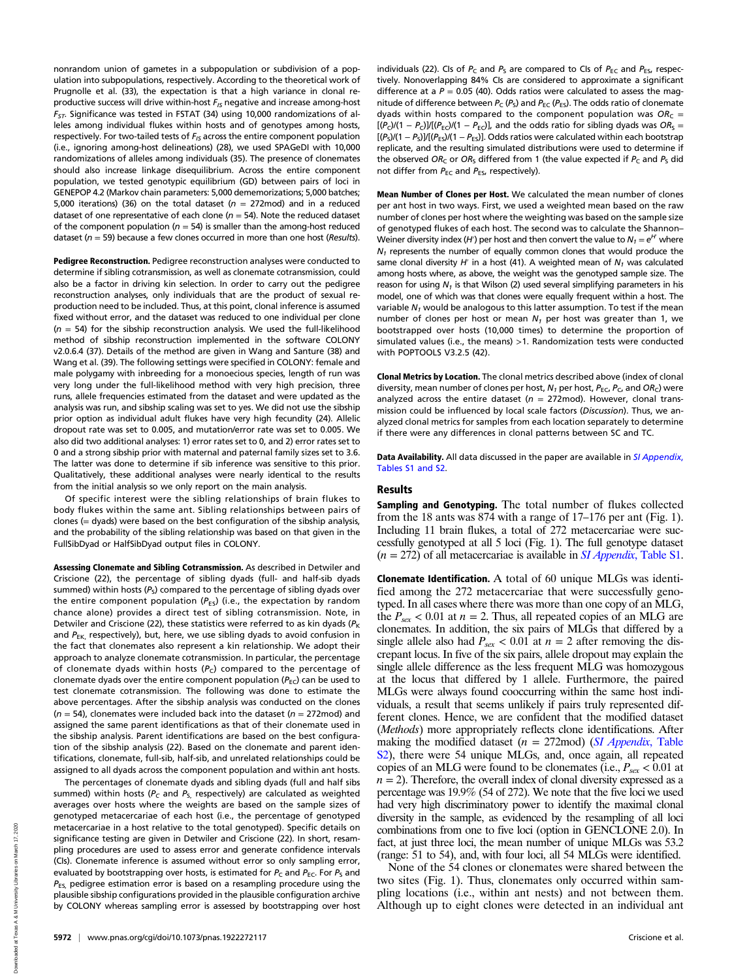nonrandom union of gametes in a subpopulation or subdivision of a population into subpopulations, respectively. According to the theoretical work of Prugnolle et al. (33), the expectation is that a high variance in clonal reproductive success will drive within-host  $F_{15}$  negative and increase among-host  $F_{ST}$ . Significance was tested in FSTAT (34) using 10,000 randomizations of alleles among individual flukes within hosts and of genotypes among hosts, respectively. For two-tailed tests of  $F_{15}$  across the entire component population (i.e., ignoring among-host delineations) (28), we used SPAGeDI with 10,000 randomizations of alleles among individuals (35). The presence of clonemates should also increase linkage disequilibrium. Across the entire component population, we tested genotypic equilibrium (GD) between pairs of loci in GENEPOP 4.2 (Markov chain parameters: 5,000 dememorizations; 5,000 batches; 5,000 iterations) (36) on the total dataset ( $n = 272 \text{mod}$ ) and in a reduced dataset of one representative of each clone ( $n = 54$ ). Note the reduced dataset of the component population ( $n = 54$ ) is smaller than the among-host reduced dataset ( $n = 59$ ) because a few clones occurred in more than one host (Results).

Pedigree Reconstruction. Pedigree reconstruction analyses were conducted to determine if sibling cotransmission, as well as clonemate cotransmission, could also be a factor in driving kin selection. In order to carry out the pedigree reconstruction analyses, only individuals that are the product of sexual reproduction need to be included. Thus, at this point, clonal inference is assumed fixed without error, and the dataset was reduced to one individual per clone  $(n = 54)$  for the sibship reconstruction analysis. We used the full-likelihood method of sibship reconstruction implemented in the software COLONY v2.0.6.4 (37). Details of the method are given in Wang and Santure (38) and Wang et al. (39). The following settings were specified in COLONY: female and male polygamy with inbreeding for a monoecious species, length of run was very long under the full-likelihood method with very high precision, three runs, allele frequencies estimated from the dataset and were updated as the analysis was run, and sibship scaling was set to yes. We did not use the sibship prior option as individual adult flukes have very high fecundity (24). Allelic dropout rate was set to 0.005, and mutation/error rate was set to 0.005. We also did two additional analyses: 1) error rates set to 0, and 2) error rates set to 0 and a strong sibship prior with maternal and paternal family sizes set to 3.6. The latter was done to determine if sib inference was sensitive to this prior. Qualitatively, these additional analyses were nearly identical to the results from the initial analysis so we only report on the main analysis.

Of specific interest were the sibling relationships of brain flukes to body flukes within the same ant. Sibling relationships between pairs of clones (= dyads) were based on the best configuration of the sibship analysis, and the probability of the sibling relationship was based on that given in the FullSibDyad or HalfSibDyad output files in COLONY.

Assessing Clonemate and Sibling Cotransmission. As described in Detwiler and Criscione (22), the percentage of sibling dyads (full- and half-sib dyads summed) within hosts ( $P<sub>S</sub>$ ) compared to the percentage of sibling dyads over the entire component population  $(P_{FS})$  (i.e., the expectation by random chance alone) provides a direct test of sibling cotransmission. Note, in Detwiler and Criscione (22), these statistics were referred to as kin dyads ( $P_K$ ) and  $P_{EK}$ , respectively), but, here, we use sibling dyads to avoid confusion in the fact that clonemates also represent a kin relationship. We adopt their approach to analyze clonemate cotransmission. In particular, the percentage of clonemate dyads within hosts  $(P_C)$  compared to the percentage of clonemate dyads over the entire component population  $(P_{EC})$  can be used to test clonemate cotransmission. The following was done to estimate the above percentages. After the sibship analysis was conducted on the clones ( $n = 54$ ), clonemates were included back into the dataset ( $n = 272 \text{mod}$ ) and assigned the same parent identifications as that of their clonemate used in the sibship analysis. Parent identifications are based on the best configuration of the sibship analysis (22). Based on the clonemate and parent identifications, clonemate, full-sib, half-sib, and unrelated relationships could be assigned to all dyads across the component population and within ant hosts.

The percentages of clonemate dyads and sibling dyads (full and half sibs summed) within hosts ( $P_c$  and  $P_s$  respectively) are calculated as weighted averages over hosts where the weights are based on the sample sizes of genotyped metacercariae of each host (i.e., the percentage of genotyped metacercariae in a host relative to the total genotyped). Specific details on significance testing are given in Detwiler and Criscione (22). In short, resampling procedures are used to assess error and generate confidence intervals (CIs). Clonemate inference is assumed without error so only sampling error, evaluated by bootstrapping over hosts, is estimated for  $P_c$  and  $P_{EC}$ . For  $P_S$  and  $P_{ES}$ , pedigree estimation error is based on a resampling procedure using the plausible sibship configurations provided in the plausible configuration archive by COLONY whereas sampling error is assessed by bootstrapping over host individuals (22). CIs of  $P_c$  and  $P_s$  are compared to CIs of  $P_{EC}$  and  $P_{ES}$ , respectively. Nonoverlapping 84% CIs are considered to approximate a significant difference at a  $P = 0.05$  (40). Odds ratios were calculated to assess the magnitude of difference between  $P_C(P_S)$  and  $P_{EC}(P_{ES})$ . The odds ratio of clonemate dyads within hosts compared to the component population was  $OR_C =$  $[(P_C)/(1 - P_C)]/[(P_{EC})/(1 - P_{EC})]$ , and the odds ratio for sibling dyads was  $OR_S =$  $[(P<sub>S</sub>)/(1 - P<sub>S</sub>)]/[(P<sub>ES</sub>)/(1 - P<sub>ES</sub>)]$ . Odds ratios were calculated within each bootstrap replicate, and the resulting simulated distributions were used to determine if the observed OR<sub>C</sub> or OR<sub>S</sub> differed from 1 (the value expected if  $P_c$  and  $P_s$  did not differ from  $P_{EC}$  and  $P_{ES}$ , respectively).

Mean Number of Clones per Host. We calculated the mean number of clones per ant host in two ways. First, we used a weighted mean based on the raw number of clones per host where the weighting was based on the sample size of genotyped flukes of each host. The second was to calculate the Shannon– Weiner diversity index (H′) per host and then convert the value to  $N_1$   $=$   $\mathrm{e}^{H^{\prime}}$  where  $N_1$  represents the number of equally common clones that would produce the same clonal diversity H' in a host (41). A weighted mean of  $N_1$  was calculated among hosts where, as above, the weight was the genotyped sample size. The reason for using  $N_1$  is that Wilson (2) used several simplifying parameters in his model, one of which was that clones were equally frequent within a host. The variable  $N_1$  would be analogous to this latter assumption. To test if the mean number of clones per host or mean  $N_1$  per host was greater than 1, we bootstrapped over hosts (10,000 times) to determine the proportion of simulated values (i.e., the means) >1. Randomization tests were conducted with POPTOOLS V3.2.5 (42).

Clonal Metrics by Location. The clonal metrics described above (index of clonal diversity, mean number of clones per host,  $N_1$  per host,  $P_{EC}$ ,  $P_C$ , and  $OR_C$ ) were analyzed across the entire dataset ( $n = 272 \text{mod}$ ). However, clonal transmission could be influenced by local scale factors (Discussion). Thus, we analyzed clonal metrics for samples from each location separately to determine if there were any differences in clonal patterns between SC and TC.

Data Availability. All data discussed in the paper are available in [SI Appendix](https://www.pnas.org/lookup/suppl/doi:10.1073/pnas.1922272117/-/DCSupplemental), [Tables S1 and S2.](https://www.pnas.org/lookup/suppl/doi:10.1073/pnas.1922272117/-/DCSupplemental)

## Results

Sampling and Genotyping. The total number of flukes collected from the 18 ants was 874 with a range of 17–176 per ant (Fig. 1). Including 11 brain flukes, a total of 272 metacercariae were successfully genotyped at all 5 loci (Fig. 1). The full genotype dataset  $(n = 272)$  of all metacercariae is available in *SI Appendix*[, Table S1](https://www.pnas.org/lookup/suppl/doi:10.1073/pnas.1922272117/-/DCSupplemental).

Clonemate Identification. A total of 60 unique MLGs was identified among the 272 metacercariae that were successfully genotyped. In all cases where there was more than one copy of an MLG, the  $P_{\text{ser}}$  < 0.01 at  $n = 2$ . Thus, all repeated copies of an MLG are clonemates. In addition, the six pairs of MLGs that differed by a single allele also had  $P_{sex}$  < 0.01 at  $n = 2$  after removing the discrepant locus. In five of the six pairs, allele dropout may explain the single allele difference as the less frequent MLG was homozygous at the locus that differed by 1 allele. Furthermore, the paired MLGs were always found cooccurring within the same host individuals, a result that seems unlikely if pairs truly represented different clones. Hence, we are confident that the modified dataset (Methods) more appropriately reflects clone identifications. After making the modified dataset ( $n = 272 \text{mod}$ ) ([SI Appendix](https://www.pnas.org/lookup/suppl/doi:10.1073/pnas.1922272117/-/DCSupplemental), Table [S2](https://www.pnas.org/lookup/suppl/doi:10.1073/pnas.1922272117/-/DCSupplemental)), there were 54 unique MLGs, and, once again, all repeated copies of an MLG were found to be clonemates (i.e.,  $P_{sex}$  < 0.01 at  $n = 2$ ). Therefore, the overall index of clonal diversity expressed as a percentage was 19.9% (54 of 272). We note that the five loci we used had very high discriminatory power to identify the maximal clonal diversity in the sample, as evidenced by the resampling of all loci combinations from one to five loci (option in GENCLONE 2.0). In fact, at just three loci, the mean number of unique MLGs was 53.2 (range: 51 to 54), and, with four loci, all 54 MLGs were identified.

None of the 54 clones or clonemates were shared between the two sites (Fig. 1). Thus, clonemates only occurred within sampling locations (i.e., within ant nests) and not between them. Although up to eight clones were detected in an individual ant

Downloaded at Texas A & M University Libraries on March 17, 2020 Downloaded at Texas A & M University Libraries on March 17, 2020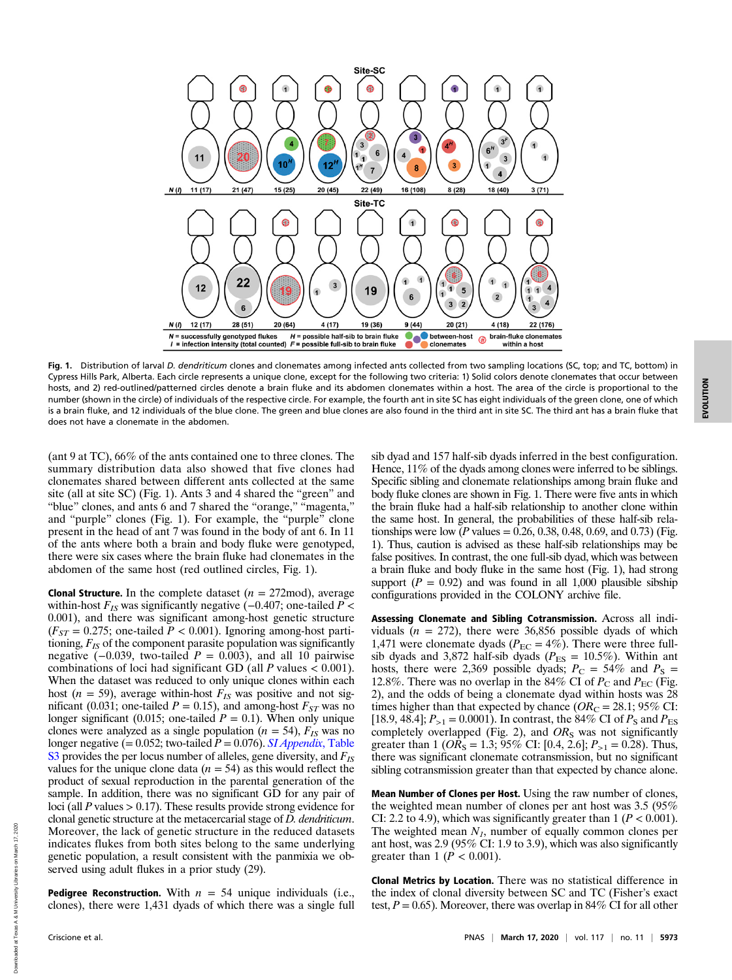

Fig. 1. Distribution of larval D. dendriticum clones and clonemates among infected ants collected from two sampling locations (SC, top; and TC, bottom) in Cypress Hills Park, Alberta. Each circle represents a unique clone, except for the following two criteria: 1) Solid colors denote clonemates that occur between hosts, and 2) red-outlined/patterned circles denote a brain fluke and its abdomen clonemates within a host. The area of the circle is proportional to the number (shown in the circle) of individuals of the respective circle. For example, the fourth ant in site SC has eight individuals of the green clone, one of which is a brain fluke, and 12 individuals of the blue clone. The green and blue clones are also found in the third ant in site SC. The third ant has a brain fluke that does not have a clonemate in the abdomen.

(ant 9 at TC), 66% of the ants contained one to three clones. The summary distribution data also showed that five clones had clonemates shared between different ants collected at the same site (all at site SC) (Fig. 1). Ants 3 and 4 shared the "green" and "blue" clones, and ants 6 and 7 shared the "orange," "magenta," and "purple" clones (Fig. 1). For example, the "purple" clone present in the head of ant 7 was found in the body of ant 6. In 11 of the ants where both a brain and body fluke were genotyped, there were six cases where the brain fluke had clonemates in the abdomen of the same host (red outlined circles, Fig. 1).

**Clonal Structure.** In the complete dataset  $(n = 272 \text{mod})$ , average within-host  $F_{IS}$  was significantly negative (-0.407; one-tailed  $P \lt \theta$ 0.001), and there was significant among-host genetic structure  $(F_{ST} = 0.275$ ; one-tailed  $P < 0.001$ ). Ignoring among-host partitioning,  $F_{IS}$  of the component parasite population was significantly negative  $(-0.039,$  two-tailed  $P = 0.003$ ), and all 10 pairwise combinations of loci had significant GD (all  $P$  values  $< 0.001$ ). When the dataset was reduced to only unique clones within each host ( $n = 59$ ), average within-host  $F_{IS}$  was positive and not significant (0.031; one-tailed  $P = 0.15$ ), and among-host  $F_{ST}$  was no longer significant (0.015; one-tailed  $P = 0.1$ ). When only unique clones were analyzed as a single population ( $n = 54$ ),  $F_{IS}$  was no longer negative (=  $0.052$ ; two-tailed  $P = 0.076$ ). [SI Appendix](https://www.pnas.org/lookup/suppl/doi:10.1073/pnas.1922272117/-/DCSupplemental), Table  $\overline{S3}$  $\overline{S3}$  $\overline{S3}$  provides the per locus number of alleles, gene diversity, and  $F_{IS}$ values for the unique clone data  $(n = 54)$  as this would reflect the product of sexual reproduction in the parental generation of the sample. In addition, there was no significant  $G\bar{D}$  for any pair of loci (all P values  $> 0.17$ ). These results provide strong evidence for clonal genetic structure at the metacercarial stage of D. dendriticum. Moreover, the lack of genetic structure in the reduced datasets indicates flukes from both sites belong to the same underlying genetic population, a result consistent with the panmixia we observed using adult flukes in a prior study (29).

**Pedigree Reconstruction.** With  $n = 54$  unique individuals (i.e., clones), there were 1,431 dyads of which there was a single full sib dyad and 157 half-sib dyads inferred in the best configuration. Hence, 11% of the dyads among clones were inferred to be siblings. Specific sibling and clonemate relationships among brain fluke and body fluke clones are shown in Fig. 1. There were five ants in which the brain fluke had a half-sib relationship to another clone within the same host. In general, the probabilities of these half-sib relationships were low (*P* values = 0.26, 0.38, 0.48, 0.69, and 0.73) (Fig. 1). Thus, caution is advised as these half-sib relationships may be false positives. In contrast, the one full-sib dyad, which was between a brain fluke and body fluke in the same host (Fig. 1), had strong support ( $P = 0.92$ ) and was found in all 1,000 plausible sibship configurations provided in the COLONY archive file.

Assessing Clonemate and Sibling Cotransmission. Across all individuals  $(n = 272)$ , there were 36,856 possible dyads of which 1,471 were clonemate dyads ( $P_{EC} = 4\%$ ). There were three fullsib dyads and 3,872 half-sib dyads ( $P_{ES} = 10.5\%$ ). Within ant hosts, there were 2,369 possible dyads;  $P_{\rm C} = 54\%$  and  $P_{\rm S} =$ 12.8%. There was no overlap in the 84% CI of  $P_{\rm C}$  and  $P_{\rm EC}$  (Fig. 2), and the odds of being a clonemate dyad within hosts was 28 times higher than that expected by chance ( $OR_C = 28.1$ ; 95% CI: [18.9, 48.4];  $P_{>1} = 0.0001$ ). In contrast, the 84% CI of  $P_S$  and  $P_{ES}$ completely overlapped (Fig. 2), and  $OR<sub>S</sub>$  was not significantly greater than 1 ( $OR_S = 1.3$ ; 95% CI: [0.4, 2.6];  $P_{>1} = 0.28$ ). Thus, there was significant clonemate cotransmission, but no significant sibling cotransmission greater than that expected by chance alone.

Mean Number of Clones per Host. Using the raw number of clones, the weighted mean number of clones per ant host was 3.5 (95% CI: 2.2 to 4.9), which was significantly greater than  $1 (P < 0.001)$ . The weighted mean  $N_I$ , number of equally common clones per ant host, was 2.9 (95% CI: 1.9 to 3.9), which was also significantly greater than 1 ( $P < 0.001$ ).

Clonal Metrics by Location. There was no statistical difference in the index of clonal diversity between SC and TC (Fisher's exact test,  $P = 0.65$ ). Moreover, there was overlap in 84% CI for all other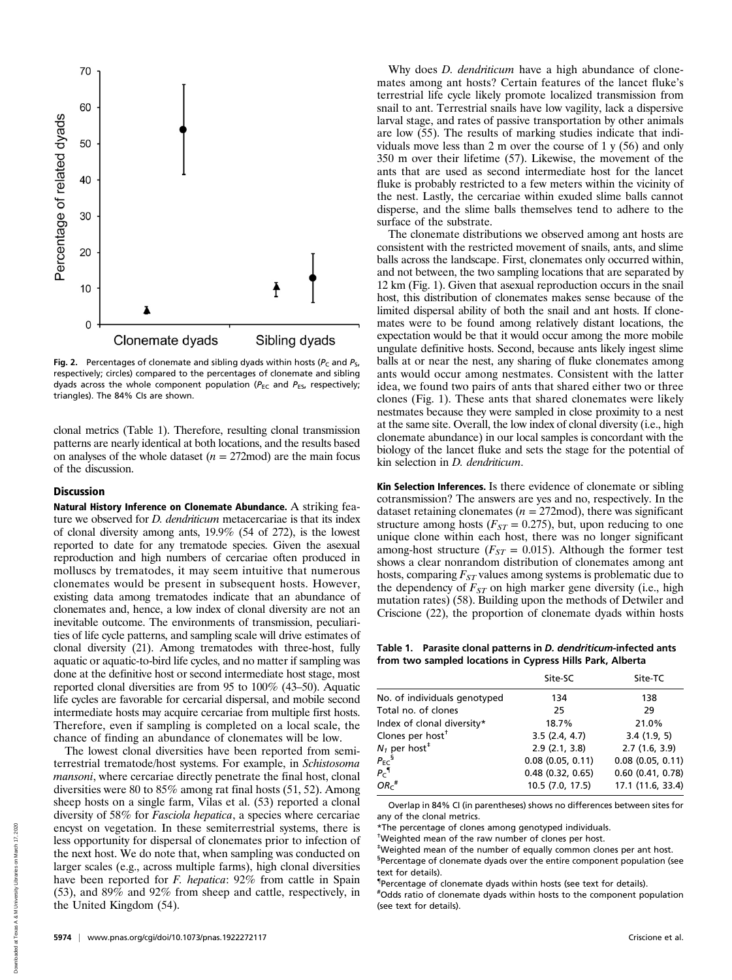

Fig. 2. Percentages of clonemate and sibling dyads within hosts ( $P_c$  and  $P_s$ , respectively; circles) compared to the percentages of clonemate and sibling dyads across the whole component population ( $P_{EC}$  and  $P_{ES}$ , respectively; triangles). The 84% CIs are shown.

clonal metrics (Table 1). Therefore, resulting clonal transmission patterns are nearly identical at both locations, and the results based on analyses of the whole dataset  $(n = 272 \text{mod})$  are the main focus of the discussion.

## **Discussion**

Natural History Inference on Clonemate Abundance. A striking feature we observed for *D. dendriticum* metacercariae is that its index of clonal diversity among ants, 19.9% (54 of 272), is the lowest reported to date for any trematode species. Given the asexual reproduction and high numbers of cercariae often produced in molluscs by trematodes, it may seem intuitive that numerous clonemates would be present in subsequent hosts. However, existing data among trematodes indicate that an abundance of clonemates and, hence, a low index of clonal diversity are not an inevitable outcome. The environments of transmission, peculiarities of life cycle patterns, and sampling scale will drive estimates of clonal diversity (21). Among trematodes with three-host, fully aquatic or aquatic-to-bird life cycles, and no matter if sampling was done at the definitive host or second intermediate host stage, most reported clonal diversities are from 95 to 100% (43–50). Aquatic life cycles are favorable for cercarial dispersal, and mobile second intermediate hosts may acquire cercariae from multiple first hosts. Therefore, even if sampling is completed on a local scale, the chance of finding an abundance of clonemates will be low.

The lowest clonal diversities have been reported from semiterrestrial trematode/host systems. For example, in Schistosoma mansoni, where cercariae directly penetrate the final host, clonal diversities were 80 to 85% among rat final hosts (51, 52). Among sheep hosts on a single farm, Vilas et al. (53) reported a clonal diversity of 58% for Fasciola hepatica, a species where cercariae encyst on vegetation. In these semiterrestrial systems, there is less opportunity for dispersal of clonemates prior to infection of the next host. We do note that, when sampling was conducted on larger scales (e.g., across multiple farms), high clonal diversities have been reported for F. hepatica: 92% from cattle in Spain (53), and 89% and 92% from sheep and cattle, respectively, in the United Kingdom (54).

Why does *D. dendriticum* have a high abundance of clonemates among ant hosts? Certain features of the lancet fluke's terrestrial life cycle likely promote localized transmission from snail to ant. Terrestrial snails have low vagility, lack a dispersive larval stage, and rates of passive transportation by other animals are low (55). The results of marking studies indicate that individuals move less than 2 m over the course of 1 y (56) and only 350 m over their lifetime (57). Likewise, the movement of the ants that are used as second intermediate host for the lancet fluke is probably restricted to a few meters within the vicinity of the nest. Lastly, the cercariae within exuded slime balls cannot disperse, and the slime balls themselves tend to adhere to the surface of the substrate.

The clonemate distributions we observed among ant hosts are consistent with the restricted movement of snails, ants, and slime balls across the landscape. First, clonemates only occurred within, and not between, the two sampling locations that are separated by 12 km (Fig. 1). Given that asexual reproduction occurs in the snail host, this distribution of clonemates makes sense because of the limited dispersal ability of both the snail and ant hosts. If clonemates were to be found among relatively distant locations, the expectation would be that it would occur among the more mobile ungulate definitive hosts. Second, because ants likely ingest slime balls at or near the nest, any sharing of fluke clonemates among ants would occur among nestmates. Consistent with the latter idea, we found two pairs of ants that shared either two or three clones (Fig. 1). These ants that shared clonemates were likely nestmates because they were sampled in close proximity to a nest at the same site. Overall, the low index of clonal diversity (i.e., high clonemate abundance) in our local samples is concordant with the biology of the lancet fluke and sets the stage for the potential of kin selection in D. dendriticum.

Kin Selection Inferences. Is there evidence of clonemate or sibling cotransmission? The answers are yes and no, respectively. In the dataset retaining clonemates ( $n = 272 \text{mod}$ ), there was significant structure among hosts ( $F_{ST} = 0.275$ ), but, upon reducing to one unique clone within each host, there was no longer significant among-host structure ( $F_{ST} = 0.015$ ). Although the former test shows a clear nonrandom distribution of clonemates among ant hosts, comparing  $F_{ST}$  values among systems is problematic due to the dependency of  $F_{ST}$  on high marker gene diversity (i.e., high mutation rates) (58). Building upon the methods of Detwiler and Criscione (22), the proportion of clonemate dyads within hosts

Table 1. Parasite clonal patterns in D. dendriticum-infected ants from two sampled locations in Cypress Hills Park, Alberta

| Site-SC             | Site-TC               |
|---------------------|-----------------------|
| 134                 | 138                   |
| 25                  | 29                    |
| 18.7%               | 21.0%                 |
| 3.5(2.4, 4.7)       | 3.4(1.9, 5)           |
| 2.9(2.1, 3.8)       | 2.7(1.6, 3.9)         |
| $0.08$ (0.05, 0.11) | $0.08$ (0.05, 0.11)   |
| 0.48(0.32, 0.65)    | $0.60$ $(0.41, 0.78)$ |
| 10.5 (7.0, 17.5)    | 17.1 (11.6, 33.4)     |
|                     |                       |

Overlap in 84% CI (in parentheses) shows no differences between sites for any of the clonal metrics.

\*The percentage of clones among genotyped individuals.

† Weighted mean of the raw number of clones per host.

‡ Weighted mean of the number of equally common clones per ant host.

<sup>§</sup>Percentage of clonemate dyads over the entire component population (see text for details).

{ Percentage of clonemate dyads within hosts (see text for details).

# Odds ratio of clonemate dyads within hosts to the component population (see text for details).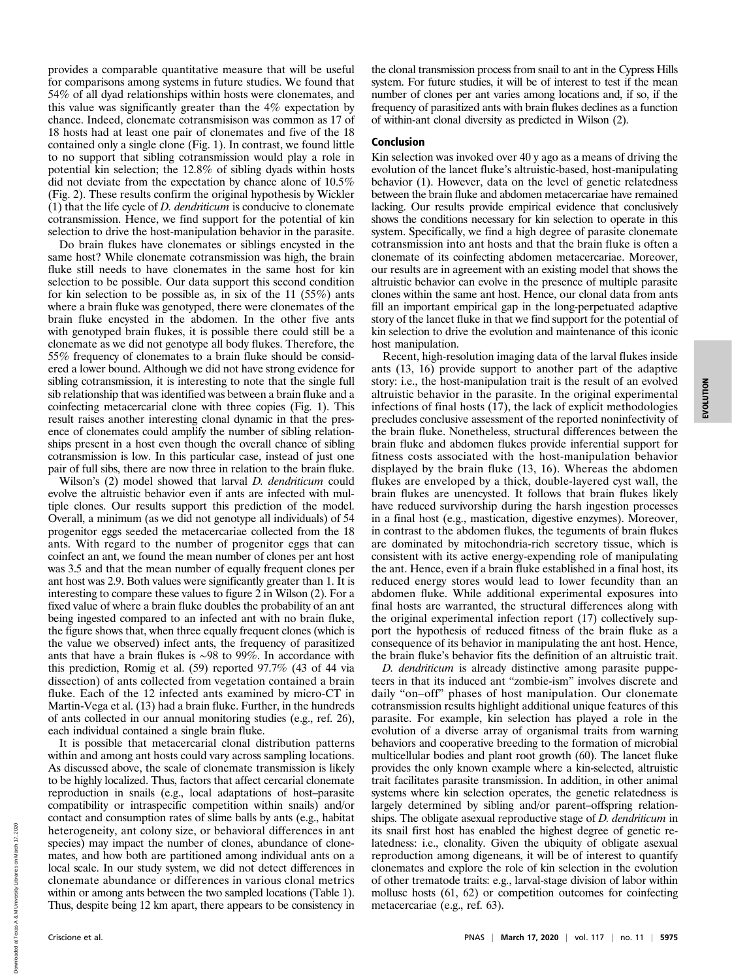provides a comparable quantitative measure that will be useful for comparisons among systems in future studies. We found that 54% of all dyad relationships within hosts were clonemates, and this value was significantly greater than the 4% expectation by chance. Indeed, clonemate cotransmisison was common as 17 of 18 hosts had at least one pair of clonemates and five of the 18 contained only a single clone (Fig. 1). In contrast, we found little to no support that sibling cotransmission would play a role in potential kin selection; the 12.8% of sibling dyads within hosts did not deviate from the expectation by chance alone of 10.5% (Fig. 2). These results confirm the original hypothesis by Wickler (1) that the life cycle of  $D$ . *dendriticum* is conducive to clonemate cotransmission. Hence, we find support for the potential of kin selection to drive the host-manipulation behavior in the parasite.

Do brain flukes have clonemates or siblings encysted in the same host? While clonemate cotransmission was high, the brain fluke still needs to have clonemates in the same host for kin selection to be possible. Our data support this second condition for kin selection to be possible as, in six of the 11 (55%) ants where a brain fluke was genotyped, there were clonemates of the brain fluke encysted in the abdomen. In the other five ants with genotyped brain flukes, it is possible there could still be a clonemate as we did not genotype all body flukes. Therefore, the 55% frequency of clonemates to a brain fluke should be considered a lower bound. Although we did not have strong evidence for sibling cotransmission, it is interesting to note that the single full sib relationship that was identified was between a brain fluke and a coinfecting metacercarial clone with three copies (Fig. 1). This result raises another interesting clonal dynamic in that the presence of clonemates could amplify the number of sibling relationships present in a host even though the overall chance of sibling cotransmission is low. In this particular case, instead of just one pair of full sibs, there are now three in relation to the brain fluke.

Wilson's (2) model showed that larval *D. dendriticum* could evolve the altruistic behavior even if ants are infected with multiple clones. Our results support this prediction of the model. Overall, a minimum (as we did not genotype all individuals) of 54 progenitor eggs seeded the metacercariae collected from the 18 ants. With regard to the number of progenitor eggs that can coinfect an ant, we found the mean number of clones per ant host was 3.5 and that the mean number of equally frequent clones per ant host was 2.9. Both values were significantly greater than 1. It is interesting to compare these values to figure 2 in Wilson (2). For a fixed value of where a brain fluke doubles the probability of an ant being ingested compared to an infected ant with no brain fluke, the figure shows that, when three equally frequent clones (which is the value we observed) infect ants, the frequency of parasitized ants that have a brain flukes is ∼98 to 99%. In accordance with this prediction, Romig et al. (59) reported 97.7% (43 of 44 via dissection) of ants collected from vegetation contained a brain fluke. Each of the 12 infected ants examined by micro-CT in Martin-Vega et al. (13) had a brain fluke. Further, in the hundreds of ants collected in our annual monitoring studies (e.g., ref. 26), each individual contained a single brain fluke.

It is possible that metacercarial clonal distribution patterns within and among ant hosts could vary across sampling locations. As discussed above, the scale of clonemate transmission is likely to be highly localized. Thus, factors that affect cercarial clonemate reproduction in snails (e.g., local adaptations of host–parasite compatibility or intraspecific competition within snails) and/or contact and consumption rates of slime balls by ants (e.g., habitat heterogeneity, ant colony size, or behavioral differences in ant species) may impact the number of clones, abundance of clonemates, and how both are partitioned among individual ants on a local scale. In our study system, we did not detect differences in clonemate abundance or differences in various clonal metrics within or among ants between the two sampled locations (Table 1). Thus, despite being 12 km apart, there appears to be consistency in

the clonal transmission process from snail to ant in the Cypress Hills system. For future studies, it will be of interest to test if the mean number of clones per ant varies among locations and, if so, if the frequency of parasitized ants with brain flukes declines as a function of within-ant clonal diversity as predicted in Wilson (2).

### Conclusion

Kin selection was invoked over 40 y ago as a means of driving the evolution of the lancet fluke's altruistic-based, host-manipulating behavior (1). However, data on the level of genetic relatedness between the brain fluke and abdomen metacercariae have remained lacking. Our results provide empirical evidence that conclusively shows the conditions necessary for kin selection to operate in this system. Specifically, we find a high degree of parasite clonemate cotransmission into ant hosts and that the brain fluke is often a clonemate of its coinfecting abdomen metacercariae. Moreover, our results are in agreement with an existing model that shows the altruistic behavior can evolve in the presence of multiple parasite clones within the same ant host. Hence, our clonal data from ants fill an important empirical gap in the long-perpetuated adaptive story of the lancet fluke in that we find support for the potential of kin selection to drive the evolution and maintenance of this iconic host manipulation.

Recent, high-resolution imaging data of the larval flukes inside ants (13, 16) provide support to another part of the adaptive story: i.e., the host-manipulation trait is the result of an evolved altruistic behavior in the parasite. In the original experimental infections of final hosts (17), the lack of explicit methodologies precludes conclusive assessment of the reported noninfectivity of the brain fluke. Nonetheless, structural differences between the brain fluke and abdomen flukes provide inferential support for fitness costs associated with the host-manipulation behavior displayed by the brain fluke (13, 16). Whereas the abdomen flukes are enveloped by a thick, double-layered cyst wall, the brain flukes are unencysted. It follows that brain flukes likely have reduced survivorship during the harsh ingestion processes in a final host (e.g., mastication, digestive enzymes). Moreover, in contrast to the abdomen flukes, the teguments of brain flukes are dominated by mitochondria-rich secretory tissue, which is consistent with its active energy-expending role of manipulating the ant. Hence, even if a brain fluke established in a final host, its reduced energy stores would lead to lower fecundity than an abdomen fluke. While additional experimental exposures into final hosts are warranted, the structural differences along with the original experimental infection report (17) collectively support the hypothesis of reduced fitness of the brain fluke as a consequence of its behavior in manipulating the ant host. Hence, the brain fluke's behavior fits the definition of an altruistic trait.

D. dendriticum is already distinctive among parasite puppeteers in that its induced ant "zombie-ism" involves discrete and daily "on–off" phases of host manipulation. Our clonemate cotransmission results highlight additional unique features of this parasite. For example, kin selection has played a role in the evolution of a diverse array of organismal traits from warning behaviors and cooperative breeding to the formation of microbial multicellular bodies and plant root growth (60). The lancet fluke provides the only known example where a kin-selected, altruistic trait facilitates parasite transmission. In addition, in other animal systems where kin selection operates, the genetic relatedness is largely determined by sibling and/or parent–offspring relationships. The obligate asexual reproductive stage of D. dendriticum in its snail first host has enabled the highest degree of genetic relatedness: i.e., clonality. Given the ubiquity of obligate asexual reproduction among digeneans, it will be of interest to quantify clonemates and explore the role of kin selection in the evolution of other trematode traits: e.g., larval-stage division of labor within mollusc hosts (61, 62) or competition outcomes for coinfecting metacercariae (e.g., ref. 63).